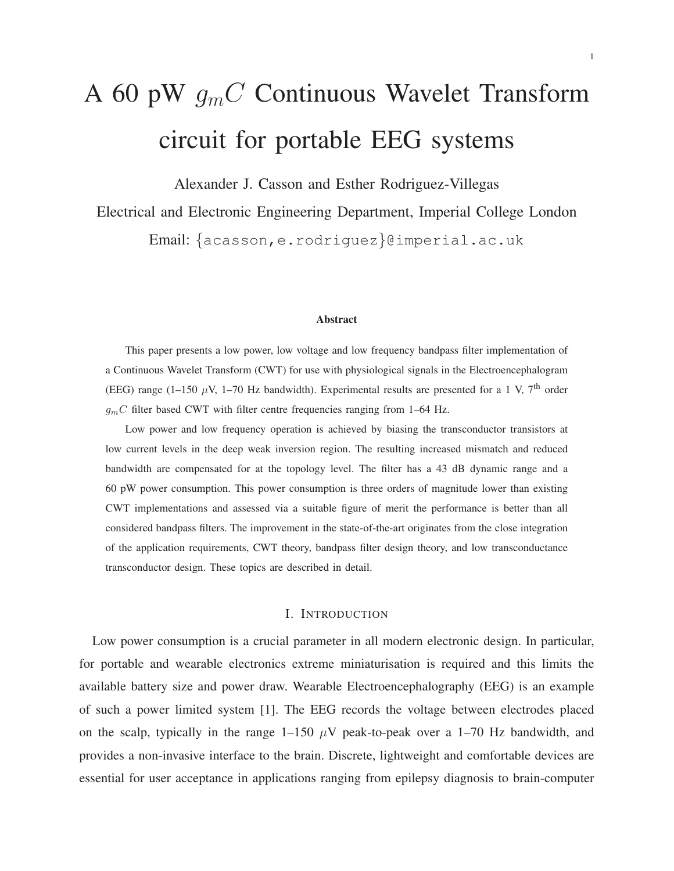# A 60 pW  $g<sub>m</sub>C$  Continuous Wavelet Transform circuit for portable EEG systems

Alexander J. Casson and Esther Rodriguez-Villegas

Electrical and Electronic Engineering Department, Imperial College London

Email: {acasson,e.rodriguez}@imperial.ac.uk

#### **Abstract**

This paper presents a low power, low voltage and low frequency bandpass filter implementation of a Continuous Wavelet Transform (CWT) for use with physiological signals in the Electroencephalogram (EEG) range (1-150  $\mu$ V, 1-70 Hz bandwidth). Experimental results are presented for a 1 V, 7<sup>th</sup> order  $g_mC$  filter based CWT with filter centre frequencies ranging from 1–64 Hz.

Low power and low frequency operation is achieved by biasing the transconductor transistors at low current levels in the deep weak inversion region. The resulting increased mismatch and reduced bandwidth are compensated for at the topology level. The filter has a 43 dB dynamic range and a 60 pW power consumption. This power consumption is three orders of magnitude lower than existing CWT implementations and assessed via a suitable figure of merit the performance is better than all considered bandpass filters. The improvement in the state-of-the-art originates from the close integration of the application requirements, CWT theory, bandpass filter design theory, and low transconductance transconductor design. These topics are described in detail.

### I. INTRODUCTION

Low power consumption is a crucial parameter in all modern electronic design. In particular, for portable and wearable electronics extreme miniaturisation is required and this limits the available battery size and power draw. Wearable Electroencephalography (EEG) is an example of such a power limited system [1]. The EEG records the voltage between electrodes placed on the scalp, typically in the range  $1-150 \mu V$  peak-to-peak over a 1–70 Hz bandwidth, and provides a non-invasive interface to the brain. Discrete, lightweight and comfortable devices are essential for user acceptance in applications ranging from epilepsy diagnosis to brain-computer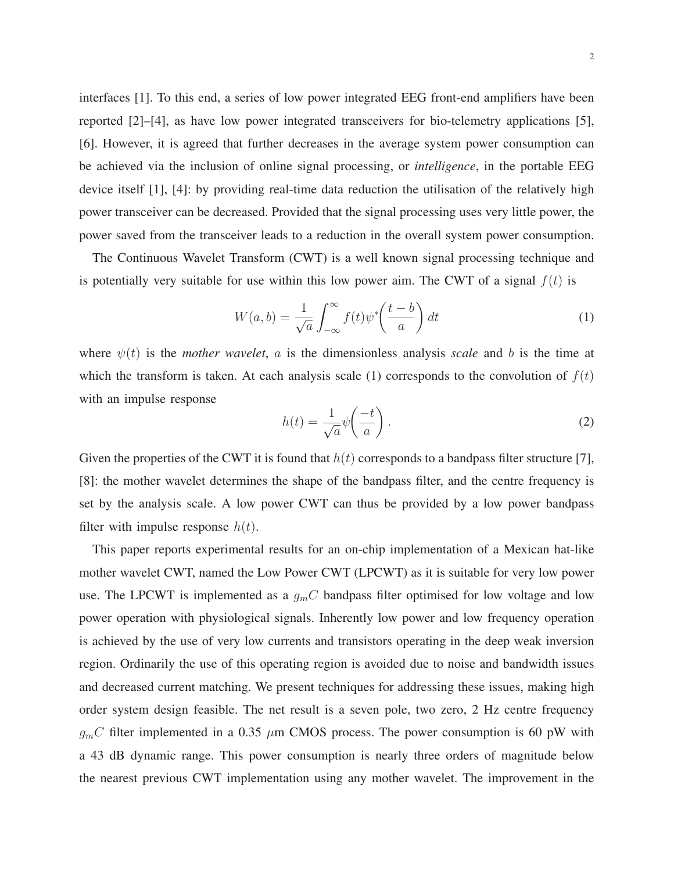interfaces [1]. To this end, a series of low power integrated EEG front-end amplifiers have been reported [2]–[4], as have low power integrated transceivers for bio-telemetry applications [5], [6]. However, it is agreed that further decreases in the average system power consumption can be achieved via the inclusion of online signal processing, or *intelligence*, in the portable EEG device itself [1], [4]: by providing real-time data reduction the utilisation of the relatively high power transceiver can be decreased. Provided that the signal processing uses very little power, the power saved from the transceiver leads to a reduction in the overall system power consumption.

The Continuous Wavelet Transform (CWT) is a well known signal processing technique and is potentially very suitable for use within this low power aim. The CWT of a signal  $f(t)$  is

$$
W(a,b) = \frac{1}{\sqrt{a}} \int_{-\infty}^{\infty} f(t) \psi^* \left(\frac{t-b}{a}\right) dt \tag{1}
$$

where  $\psi(t)$  is the *mother wavelet*, a is the dimensionless analysis *scale* and b is the time at which the transform is taken. At each analysis scale (1) corresponds to the convolution of  $f(t)$ with an impulse response

$$
h(t) = \frac{1}{\sqrt{a}} \psi\left(\frac{-t}{a}\right). \tag{2}
$$

Given the properties of the CWT it is found that  $h(t)$  corresponds to a bandpass filter structure [7], [8]: the mother wavelet determines the shape of the bandpass filter, and the centre frequency is set by the analysis scale. A low power CWT can thus be provided by a low power bandpass filter with impulse response  $h(t)$ .

This paper reports experimental results for an on-chip implementation of a Mexican hat-like mother wavelet CWT, named the Low Power CWT (LPCWT) as it is suitable for very low power use. The LPCWT is implemented as a  $g<sub>m</sub>C$  bandpass filter optimised for low voltage and low power operation with physiological signals. Inherently low power and low frequency operation is achieved by the use of very low currents and transistors operating in the deep weak inversion region. Ordinarily the use of this operating region is avoided due to noise and bandwidth issues and decreased current matching. We present techniques for addressing these issues, making high order system design feasible. The net result is a seven pole, two zero, 2 Hz centre frequency  $q<sub>m</sub>C$  filter implemented in a 0.35  $\mu$ m CMOS process. The power consumption is 60 pW with a 43 dB dynamic range. This power consumption is nearly three orders of magnitude below the nearest previous CWT implementation using any mother wavelet. The improvement in the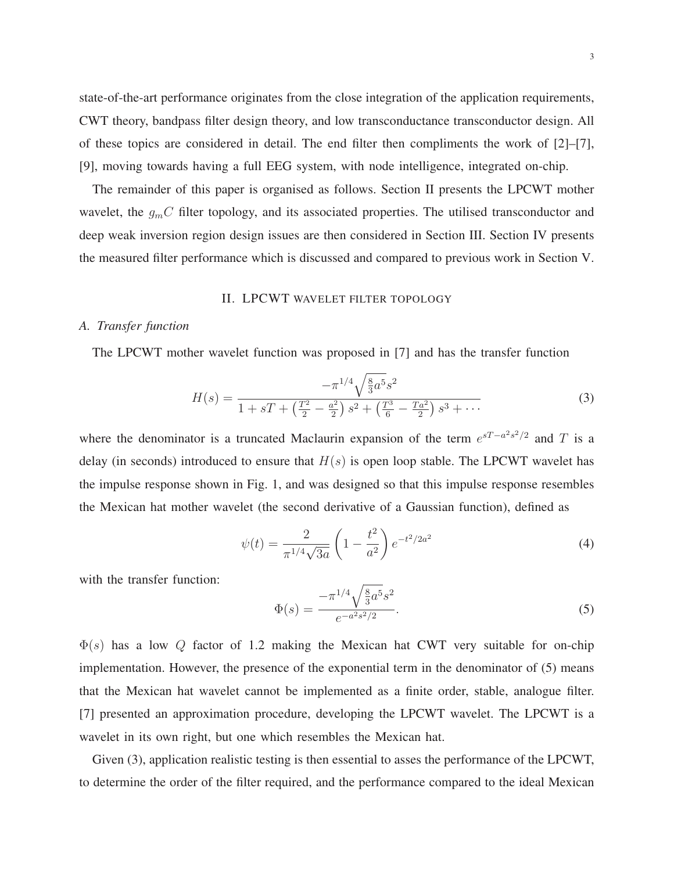state-of-the-art performance originates from the close integration of the application requirements, CWT theory, bandpass filter design theory, and low transconductance transconductor design. All of these topics are considered in detail. The end filter then compliments the work of  $[2]-[7]$ , [9], moving towards having a full EEG system, with node intelligence, integrated on-chip.

The remainder of this paper is organised as follows. Section II presents the LPCWT mother wavelet, the  $g_{m}C$  filter topology, and its associated properties. The utilised transconductor and deep weak inversion region design issues are then considered in Section III. Section IV presents the measured filter performance which is discussed and compared to previous work in Section V.

## II. LPCWT WAVELET FILTER TOPOLOGY

# *A. Transfer function*

The LPCWT mother wavelet function was proposed in [7] and has the transfer function

$$
H(s) = \frac{-\pi^{1/4}\sqrt{\frac{8}{3}a^5}s^2}{1+sT + \left(\frac{T^2}{2} - \frac{a^2}{2}\right)s^2 + \left(\frac{T^3}{6} - \frac{Ta^2}{2}\right)s^3 + \cdots}
$$
(3)

where the denominator is a truncated Maclaurin expansion of the term  $e^{sT - a^2 s^2/2}$  and T is a delay (in seconds) introduced to ensure that  $H(s)$  is open loop stable. The LPCWT wavelet has the impulse response shown in Fig. 1, and was designed so that this impulse response resembles the Mexican hat mother wavelet (the second derivative of a Gaussian function), defined as

$$
\psi(t) = \frac{2}{\pi^{1/4}\sqrt{3a}} \left(1 - \frac{t^2}{a^2}\right) e^{-t^2/2a^2}
$$
\n(4)

with the transfer function:

$$
\Phi(s) = \frac{-\pi^{1/4} \sqrt{\frac{8}{3}a^5 s^2}}{e^{-a^2 s^2/2}}.
$$
\n(5)

 $\Phi(s)$  has a low Q factor of 1.2 making the Mexican hat CWT very suitable for on-chip implementation. However, the presence of the exponential term in the denominator of (5) means that the Mexican hat wavelet cannot be implemented as a finite order, stable, analogue filter. [7] presented an approximation procedure, developing the LPCWT wavelet. The LPCWT is a wavelet in its own right, but one which resembles the Mexican hat.

Given  $(3)$ , application realistic testing is then essential to asses the performance of the LPCWT, to determine the order of the filter required, and the performance compared to the ideal Mexican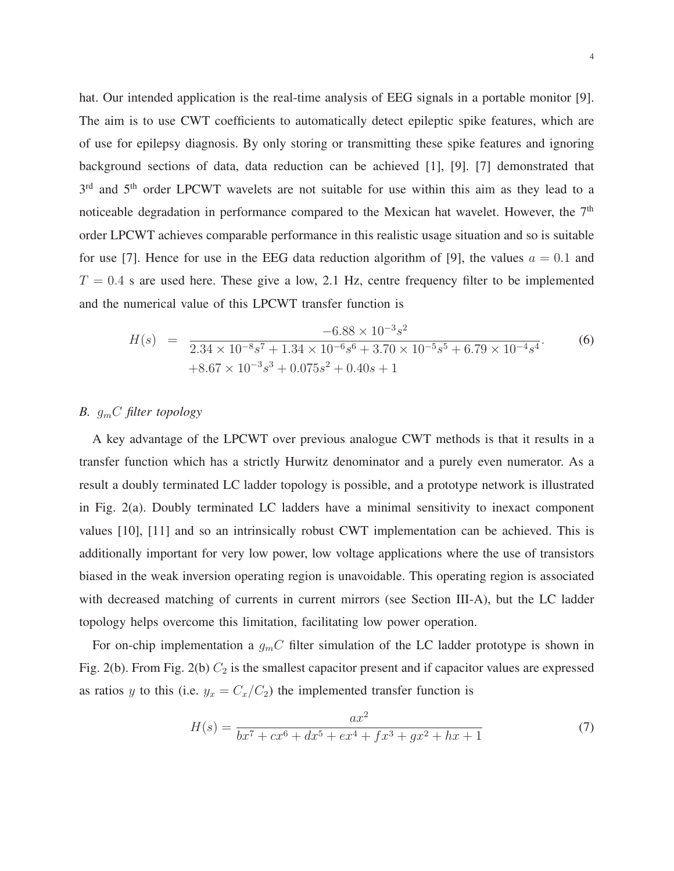hat. Our intended application is the real-time analysis of EEG signals in a portable monitor [9]. The aim is to use CWT coefficients to automatically detect epileptic spike features, which are of use for epilepsy diagnosis. By only storing or transmitting these spike features and ignoring background sections of data, data reduction can be achieved [1], [9]. [7] demonstrated that 3<sup>rd</sup> and 5<sup>th</sup> order LPCWT wavelets are not suitable for use within this aim as they lead to a noticeable degradation in performance compared to the Mexican hat wavelet. However, the  $7<sup>th</sup>$ order LPCWT achieves comparable performance in this realistic usage situation and so is suitable for use [7]. Hence for use in the EEG data reduction algorithm of [9], the values  $a = 0.1$  and  $T = 0.4$  s are used here. These give a low, 2.1 Hz, centre frequency filter to be implemented and the numerical value of this LPCWT transfer function is

$$
H(s) = \frac{-6.88 \times 10^{-3} s^2}{2.34 \times 10^{-8} s^7 + 1.34 \times 10^{-6} s^6 + 3.70 \times 10^{-5} s^5 + 6.79 \times 10^{-4} s^4}.
$$
\n
$$
+8.67 \times 10^{-3} s^3 + 0.075 s^2 + 0.40 s + 1
$$
\n(6)

# *B.* gmC *filter topology*

A key advantage of the LPCWT over previous analogue CWT methods is that it results in a transfer function which has a strictly Hurwitz denominator and a purely even numerator. As a result a doubly terminated LC ladder topology is possible, and a prototype network is illustrated in Fig. 2(a). Doubly terminated LC ladders have a minimal sensitivity to inexact component values [10], [11] and so an intrinsically robust CWT implementation can be achieved. This is additionally important for very low power, low voltage applications where the use of transistors biased in the weak inversion operating region is unavoidable. This operating region is associated with decreased matching of currents in current mirrors (see Section III-A), but the LC ladder topology helps overcome this limitation, facilitating low power operation.

For on-chip implementation a  $g_mC$  filter simulation of the LC ladder prototype is shown in Fig. 2(b). From Fig. 2(b)  $C_2$  is the smallest capacitor present and if capacitor values are expressed as ratios y to this (i.e.  $y_x = C_x/C_2$ ) the implemented transfer function is

$$
H(s) = \frac{ax^2}{bx^7 + cx^6 + dx^5 + ex^4 + fx^3 + gx^2 + hx + 1}
$$
 (7)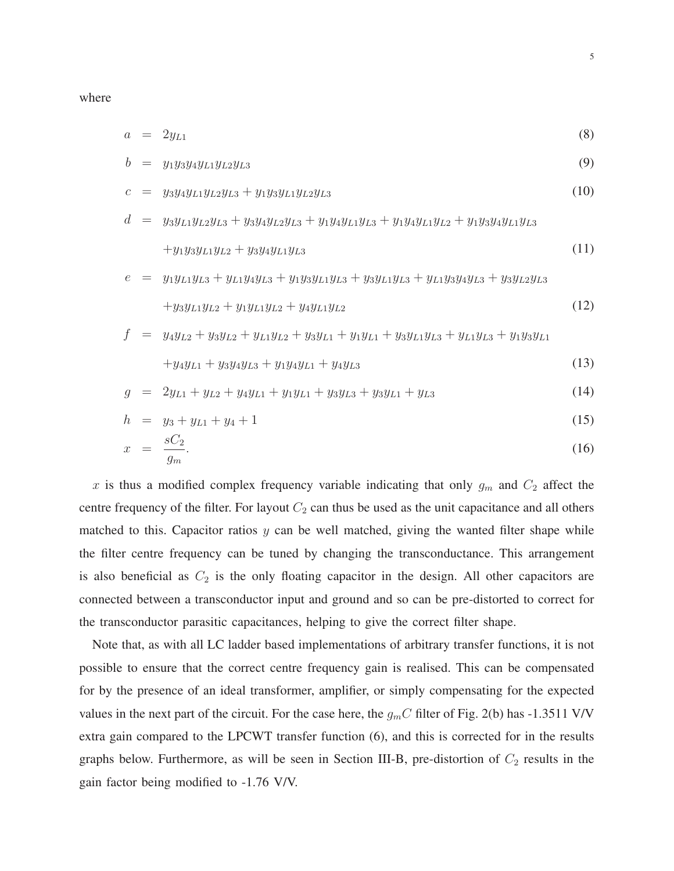where

$$
a = 2y_{L1} \tag{8}
$$

$$
b = y_1 y_3 y_4 y_{L1} y_{L2} y_{L3} \tag{9}
$$

$$
c = y_3 y_4 y_{L1} y_{L2} y_{L3} + y_1 y_3 y_{L1} y_{L2} y_{L3} \tag{10}
$$

$$
d = y_3 y_{L1} y_{L2} y_{L3} + y_3 y_4 y_{L2} y_{L3} + y_1 y_4 y_{L1} y_{L3} + y_1 y_4 y_{L1} y_{L2} + y_1 y_3 y_4 y_{L1} y_{L3}
$$
  
+ $y_1 y_3 y_{L1} y_{L2} + y_3 y_4 y_{L1} y_{L3}$  (11)

$$
e = y_1 y_{L1} y_{L3} + y_{L1} y_4 y_{L3} + y_1 y_3 y_{L1} y_{L3} + y_3 y_{L1} y_{L3} + y_{L1} y_3 y_4 y_{L3} + y_3 y_{L2} y_{L3} + y_3 y_{L1} y_{L2} + y_1 y_{L1} y_{L2} + y_4 y_{L1} y_{L2}
$$
\n(12)

$$
f = y_4y_{L2} + y_3y_{L2} + y_{L1}y_{L2} + y_3y_{L1} + y_1y_{L1} + y_3y_{L1}y_{L3} + y_{L1}y_{L3} + y_1y_3y_{L1}
$$

$$
+y_4y_{L1}+y_3y_4y_{L3}+y_1y_4y_{L1}+y_4y_{L3}
$$
\n(13)

$$
g = 2y_{L1} + y_{L2} + y_4y_{L1} + y_1y_{L1} + y_3y_{L3} + y_3y_{L1} + y_{L3}
$$
 (14)

$$
h = y_3 + y_{L1} + y_4 + 1 \tag{15}
$$

$$
x = \frac{sC_2}{g_m}.\tag{16}
$$

x is thus a modified complex frequency variable indicating that only  $g_m$  and  $C_2$  affect the centre frequency of the filter. For layout  $C_2$  can thus be used as the unit capacitance and all others matched to this. Capacitor ratios  $y$  can be well matched, giving the wanted filter shape while the filter centre frequency can be tuned by changing the transconductance. This arrangement is also beneficial as  $C_2$  is the only floating capacitor in the design. All other capacitors are connected between a transconductor input and ground and so can be pre-distorted to correct for the transconductor parasitic capacitances, helping to give the correct filter shape.

Note that, as with all LC ladder based implementations of arbitrary transfer functions, it is not possible to ensure that the correct centre frequency gain is realised. This can be compensated for by the presence of an ideal transformer, amplifier, or simply compensating for the expected values in the next part of the circuit. For the case here, the  $g<sub>m</sub>C$  filter of Fig. 2(b) has -1.3511 V/V extra gain compared to the LPCWT transfer function (6), and this is corrected for in the results graphs below. Furthermore, as will be seen in Section III-B, pre-distortion of  $C_2$  results in the gain factor being modified to -1.76 V/V.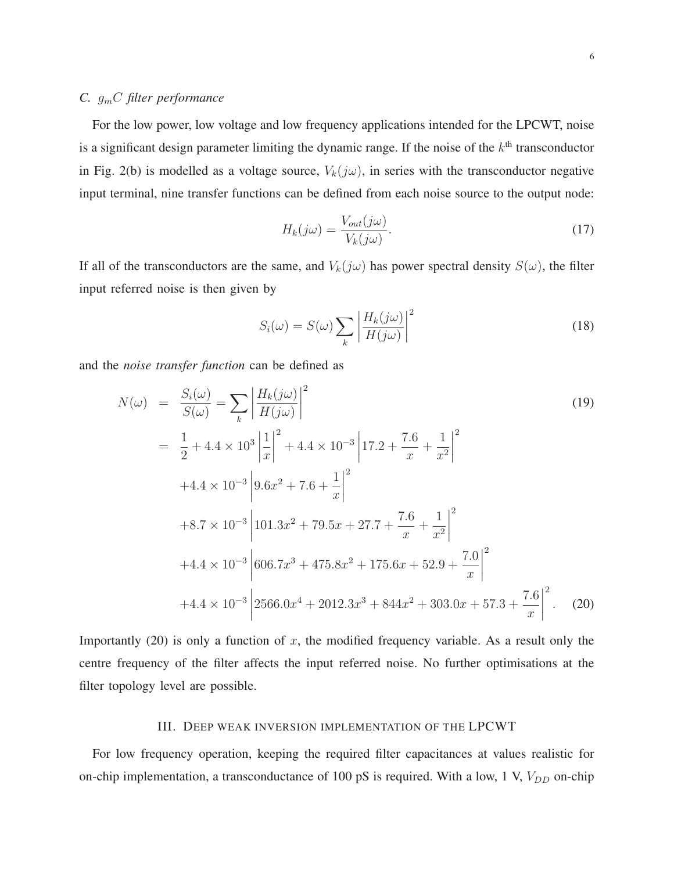# *C.* gmC *filter performance*

For the low power, low voltage and low frequency applications intended for the LPCWT, noise is a significant design parameter limiting the dynamic range. If the noise of the  $k<sup>th</sup>$  transconductor in Fig. 2(b) is modelled as a voltage source,  $V_k(j\omega)$ , in series with the transconductor negative input terminal, nine transfer functions can be defined from each noise source to the output node:

$$
H_k(j\omega) = \frac{V_{out}(j\omega)}{V_k(j\omega)}.
$$
\n(17)

If all of the transconductors are the same, and  $V_k(j\omega)$  has power spectral density  $S(\omega)$ , the filter input referred noise is then given by

$$
S_i(\omega) = S(\omega) \sum_{k} \left| \frac{H_k(j\omega)}{H(j\omega)} \right|^2 \tag{18}
$$

and the *noise transfer function* can be defined as

$$
N(\omega) = \frac{S_i(\omega)}{S(\omega)} = \sum_{k} \left| \frac{H_k(j\omega)}{H(j\omega)} \right|^2
$$
\n
$$
= \frac{1}{2} + 4.4 \times 10^3 \left| \frac{1}{x} \right|^2 + 4.4 \times 10^{-3} \left| 17.2 + \frac{7.6}{x} + \frac{1}{x^2} \right|^2
$$
\n
$$
+ 4.4 \times 10^{-3} \left| 9.6x^2 + 7.6 + \frac{1}{x} \right|^2
$$
\n
$$
+ 8.7 \times 10^{-3} \left| 101.3x^2 + 79.5x + 27.7 + \frac{7.6}{x} + \frac{1}{x^2} \right|^2
$$
\n
$$
+ 4.4 \times 10^{-3} \left| 606.7x^3 + 475.8x^2 + 175.6x + 52.9 + \frac{7.0}{x} \right|^2
$$
\n
$$
+ 4.4 \times 10^{-3} \left| 2566.0x^4 + 2012.3x^3 + 844x^2 + 303.0x + 57.3 + \frac{7.6}{x} \right|^2.
$$
\n(20)

Importantly  $(20)$  is only a function of x, the modified frequency variable. As a result only the centre frequency of the filter affects the input referred noise. No further optimisations at the filter topology level are possible.

## III. DEEP WEAK INVERSION IMPLEMENTATION OF THE LPCWT

For low frequency operation, keeping the required filter capacitances at values realistic for on-chip implementation, a transconductance of 100 pS is required. With a low, 1 V,  $V_{DD}$  on-chip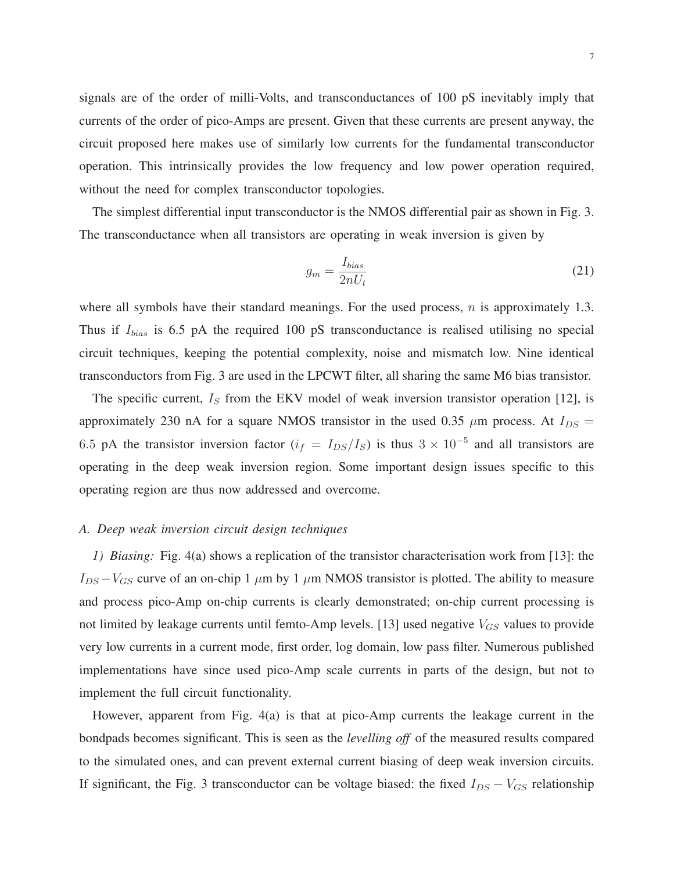signals are of the order of milli-Volts, and transconductances of 100 pS inevitably imply that currents of the order of pico-Amps are present. Given that these currents are present anyway, the circuit proposed here makes use of similarly low currents for the fundamental transconductor operation. This intrinsically provides the low frequency and low power operation required, without the need for complex transconductor topologies.

The simplest differential input transconductor is the NMOS differential pair as shown in Fig. 3. The transconductance when all transistors are operating in weak inversion is given by

$$
g_m = \frac{I_{bias}}{2nU_t} \tag{21}
$$

where all symbols have their standard meanings. For the used process,  $n$  is approximately 1.3. Thus if  $I_{bias}$  is 6.5 pA the required 100 pS transconductance is realised utilising no special circuit techniques, keeping the potential complexity, noise and mismatch low. Nine identical transconductors from Fig. 3 are used in the LPCWT filter, all sharing the same M6 bias transistor.

The specific current,  $I<sub>S</sub>$  from the EKV model of weak inversion transistor operation [12], is approximately 230 nA for a square NMOS transistor in the used 0.35  $\mu$ m process. At  $I_{DS}$  = 6.5 pA the transistor inversion factor  $(i_f = I_{DS}/I_S)$  is thus  $3 \times 10^{-5}$  and all transistors are operating in the deep weak inversion region. Some important design issues specific to this operating region are thus now addressed and overcome.

### *A. Deep weak inversion circuit design techniques*

*1) Biasing:* Fig. 4(a) shows a replication of the transistor characterisation work from [13]: the  $I_{DS} - V_{GS}$  curve of an on-chip 1  $\mu$ m by 1  $\mu$ m NMOS transistor is plotted. The ability to measure and process pico-Amp on-chip currents is clearly demonstrated; on-chip current processing is not limited by leakage currents until femto-Amp levels. [13] used negative  $V_{GS}$  values to provide very low currents in a current mode, first order, log domain, low pass filter. Numerous published implementations have since used pico-Amp scale currents in parts of the design, but not to implement the full circuit functionality.

However, apparent from Fig. 4(a) is that at pico-Amp currents the leakage current in the bondpads becomes significant. This is seen as the *levelling off* of the measured results compared to the simulated ones, and can prevent external current biasing of deep weak inversion circuits. If significant, the Fig. 3 transconductor can be voltage biased: the fixed  $I_{DS} - V_{GS}$  relationship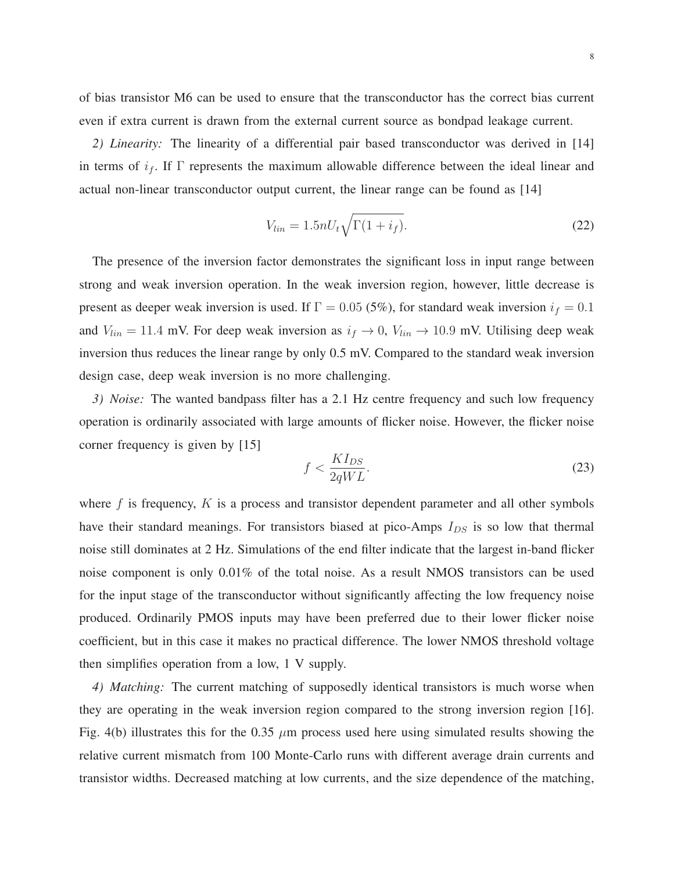of bias transistor M6 can be used to ensure that the transconductor has the correct bias current even if extra current is drawn from the external current source as bondpad leakage current.

*2) Linearity:* The linearity of a differential pair based transconductor was derived in [14] in terms of  $i_f$ . If  $\Gamma$  represents the maximum allowable difference between the ideal linear and actual non-linear transconductor output current, the linear range can be found as [14]

$$
V_{lin} = 1.5nU_t\sqrt{\Gamma(1+i_f)}.\t(22)
$$

The presence of the inversion factor demonstrates the significant loss in input range between strong and weak inversion operation. In the weak inversion region, however, little decrease is present as deeper weak inversion is used. If  $\Gamma = 0.05$  (5%), for standard weak inversion  $i_f = 0.1$ and  $V_{lin} = 11.4$  mV. For deep weak inversion as  $i_f \rightarrow 0$ ,  $V_{lin} \rightarrow 10.9$  mV. Utilising deep weak inversion thus reduces the linear range by only 0.5 mV. Compared to the standard weak inversion design case, deep weak inversion is no more challenging.

*3) Noise:* The wanted bandpass filter has a 2.1 Hz centre frequency and such low frequency operation is ordinarily associated with large amounts of flicker noise. However, the flicker noise corner frequency is given by [15]

$$
f < \frac{K I_{DS}}{2qWL}.\tag{23}
$$

where  $f$  is frequency,  $K$  is a process and transistor dependent parameter and all other symbols have their standard meanings. For transistors biased at pico-Amps  $I_{DS}$  is so low that thermal noise still dominates at 2 Hz. Simulations of the end filter indicate that the largest in-band flicker noise component is only 0.01% of the total noise. As a result NMOS transistors can be used for the input stage of the transconductor without significantly affecting the low frequency noise produced. Ordinarily PMOS inputs may have been preferred due to their lower flicker noise coefficient, but in this case it makes no practical difference. The lower NMOS threshold voltage then simplifies operation from a low, 1 V supply.

*4) Matching:* The current matching of supposedly identical transistors is much worse when they are operating in the weak inversion region compared to the strong inversion region [16]. Fig. 4(b) illustrates this for the 0.35  $\mu$ m process used here using simulated results showing the relative current mismatch from 100 Monte-Carlo runs with different average drain currents and transistor widths. Decreased matching at low currents, and the size dependence of the matching,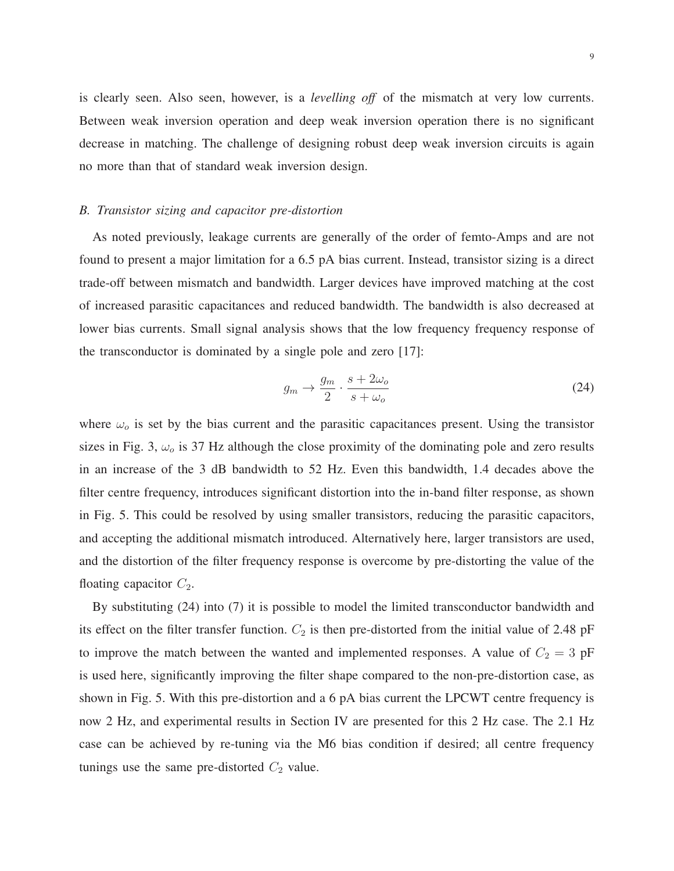is clearly seen. Also seen, however, is a *levelling off* of the mismatch at very low currents. Between weak inversion operation and deep weak inversion operation there is no significant decrease in matching. The challenge of designing robust deep weak inversion circuits is again no more than that of standard weak inversion design.

## *B. Transistor sizing and capacitor pre-distortion*

As noted previously, leakage currents are generally of the order of femto-Amps and are not found to present a major limitation for a 6.5 pA bias current. Instead, transistor sizing is a direct trade-off between mismatch and bandwidth. Larger devices have improved matching at the cost of increased parasitic capacitances and reduced bandwidth. The bandwidth is also decreased at lower bias currents. Small signal analysis shows that the low frequency frequency response of the transconductor is dominated by a single pole and zero [17]:

$$
g_m \to \frac{g_m}{2} \cdot \frac{s + 2\omega_o}{s + \omega_o} \tag{24}
$$

where  $\omega_o$  is set by the bias current and the parasitic capacitances present. Using the transistor sizes in Fig. 3,  $\omega_o$  is 37 Hz although the close proximity of the dominating pole and zero results in an increase of the 3 dB bandwidth to 52 Hz. Even this bandwidth, 1.4 decades above the filter centre frequency, introduces significant distortion into the in-band filter response, as shown in Fig. 5. This could be resolved by using smaller transistors, reducing the parasitic capacitors, and accepting the additional mismatch introduced. Alternatively here, larger transistors are used, and the distortion of the filter frequency response is overcome by pre-distorting the value of the floating capacitor  $C_2$ .

By substituting (24) into (7) it is possible to model the limited transconductor bandwidth and its effect on the filter transfer function.  $C_2$  is then pre-distorted from the initial value of 2.48 pF to improve the match between the wanted and implemented responses. A value of  $C_2 = 3$  pF is used here, significantly improving the filter shape compared to the non-pre-distortion case, as shown in Fig. 5. With this pre-distortion and a 6 pA bias current the LPCWT centre frequency is now 2 Hz, and experimental results in Section IV are presented for this 2 Hz case. The 2.1 Hz case can be achieved by re-tuning via the M6 bias condition if desired; all centre frequency tunings use the same pre-distorted  $C_2$  value.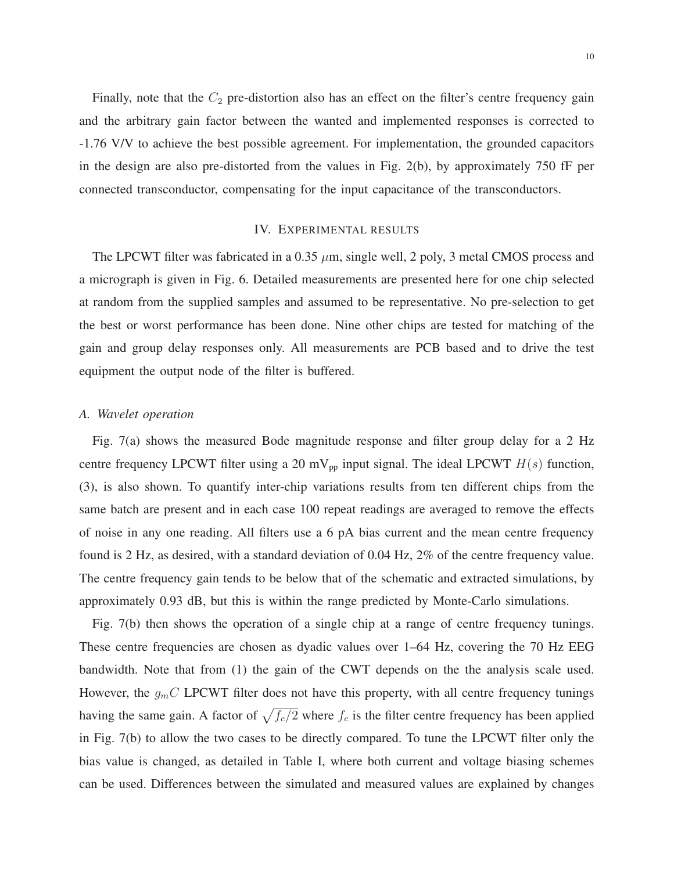Finally, note that the  $C_2$  pre-distortion also has an effect on the filter's centre frequency gain and the arbitrary gain factor between the wanted and implemented responses is corrected to -1.76 V/V to achieve the best possible agreement. For implementation, the grounded capacitors in the design are also pre-distorted from the values in Fig. 2(b), by approximately 750 fF per connected transconductor, compensating for the input capacitance of the transconductors.

# IV. EXPERIMENTAL RESULTS

The LPCWT filter was fabricated in a 0.35  $\mu$ m, single well, 2 poly, 3 metal CMOS process and a micrograph is given in Fig. 6. Detailed measurements are presented here for one chip selected at random from the supplied samples and assumed to be representative. No pre-selection to get the best or worst performance has been done. Nine other chips are tested for matching of the gain and group delay responses only. All measurements are PCB based and to drive the test equipment the output node of the filter is buffered.

## *A. Wavelet operation*

Fig. 7(a) shows the measured Bode magnitude response and filter group delay for a 2 Hz centre frequency LPCWT filter using a 20 mV<sub>pp</sub> input signal. The ideal LPCWT  $H(s)$  function, (3), is also shown. To quantify inter-chip variations results from ten different chips from the same batch are present and in each case 100 repeat readings are averaged to remove the effects of noise in any one reading. All filters use a 6 pA bias current and the mean centre frequency found is 2 Hz, as desired, with a standard deviation of 0.04 Hz, 2% of the centre frequency value. The centre frequency gain tends to be below that of the schematic and extracted simulations, by approximately 0.93 dB, but this is within the range predicted by Monte-Carlo simulations.

Fig. 7(b) then shows the operation of a single chip at a range of centre frequency tunings. These centre frequencies are chosen as dyadic values over 1–64 Hz, covering the 70 Hz EEG bandwidth. Note that from (1) the gain of the CWT depends on the the analysis scale used. However, the  $g_{m}C$  LPCWT filter does not have this property, with all centre frequency tunings having the same gain. A factor of  $\sqrt{f_c/2}$  where  $f_c$  is the filter centre frequency has been applied in Fig. 7(b) to allow the two cases to be directly compared. To tune the LPCWT filter only the bias value is changed, as detailed in Table I, where both current and voltage biasing schemes can be used. Differences between the simulated and measured values are explained by changes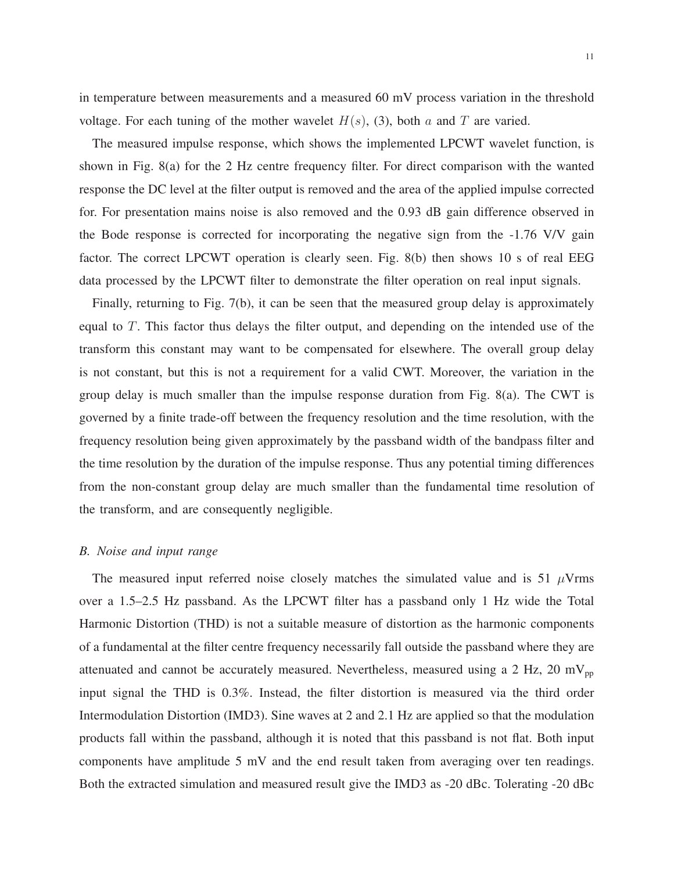in temperature between measurements and a measured 60 mV process variation in the threshold voltage. For each tuning of the mother wavelet  $H(s)$ , (3), both a and T are varied.

The measured impulse response, which shows the implemented LPCWT wavelet function, is shown in Fig. 8(a) for the 2 Hz centre frequency filter. For direct comparison with the wanted response the DC level at the filter output is removed and the area of the applied impulse corrected for. For presentation mains noise is also removed and the 0.93 dB gain difference observed in the Bode response is corrected for incorporating the negative sign from the -1.76 V/V gain factor. The correct LPCWT operation is clearly seen. Fig. 8(b) then shows 10 s of real EEG data processed by the LPCWT filter to demonstrate the filter operation on real input signals.

Finally, returning to Fig. 7(b), it can be seen that the measured group delay is approximately equal to  $T$ . This factor thus delays the filter output, and depending on the intended use of the transform this constant may want to be compensated for elsewhere. The overall group delay is not constant, but this is not a requirement for a valid CWT. Moreover, the variation in the group delay is much smaller than the impulse response duration from Fig. 8(a). The CWT is governed by a finite trade-off between the frequency resolution and the time resolution, with the frequency resolution being given approximately by the passband width of the bandpass filter and the time resolution by the duration of the impulse response. Thus any potential timing differences from the non-constant group delay are much smaller than the fundamental time resolution of the transform, and are consequently negligible.

#### *B. Noise and input range*

The measured input referred noise closely matches the simulated value and is 51  $\mu$ Vrms over a 1.5–2.5 Hz passband. As the LPCWT filter has a passband only 1 Hz wide the Total Harmonic Distortion (THD) is not a suitable measure of distortion as the harmonic components of a fundamental at the filter centre frequency necessarily fall outside the passband where they are attenuated and cannot be accurately measured. Nevertheless, measured using a 2 Hz, 20 mV<sub>pp</sub> input signal the THD is 0.3%. Instead, the filter distortion is measured via the third order Intermodulation Distortion (IMD3). Sine waves at 2 and 2.1 Hz are applied so that the modulation products fall within the passband, although it is noted that this passband is not flat. Both input components have amplitude 5 mV and the end result taken from averaging over ten readings. Both the extracted simulation and measured result give the IMD3 as -20 dBc. Tolerating -20 dBc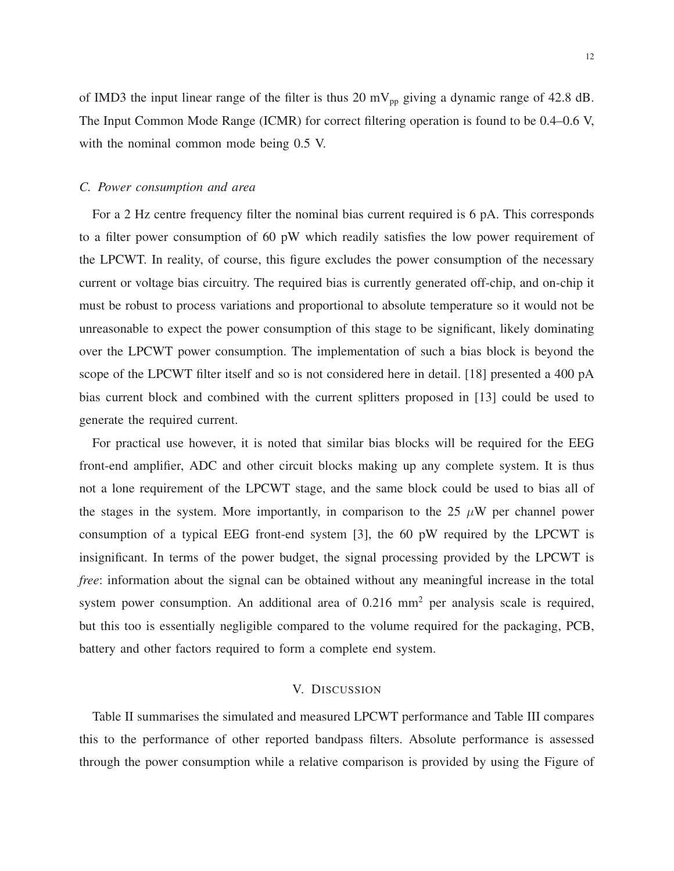of IMD3 the input linear range of the filter is thus 20 mV<sub>pp</sub> giving a dynamic range of 42.8 dB. The Input Common Mode Range (ICMR) for correct filtering operation is found to be 0.4–0.6 V, with the nominal common mode being 0.5 V.

## *C. Power consumption and area*

For a 2 Hz centre frequency filter the nominal bias current required is 6 pA. This corresponds to a filter power consumption of 60 pW which readily satisfies the low power requirement of the LPCWT. In reality, of course, this figure excludes the power consumption of the necessary current or voltage bias circuitry. The required bias is currently generated off-chip, and on-chip it must be robust to process variations and proportional to absolute temperature so it would not be unreasonable to expect the power consumption of this stage to be significant, likely dominating over the LPCWT power consumption. The implementation of such a bias block is beyond the scope of the LPCWT filter itself and so is not considered here in detail. [18] presented a 400 pA bias current block and combined with the current splitters proposed in [13] could be used to generate the required current.

For practical use however, it is noted that similar bias blocks will be required for the EEG front-end amplifier, ADC and other circuit blocks making up any complete system. It is thus not a lone requirement of the LPCWT stage, and the same block could be used to bias all of the stages in the system. More importantly, in comparison to the 25  $\mu$ W per channel power consumption of a typical EEG front-end system [3], the 60 pW required by the LPCWT is insignificant. In terms of the power budget, the signal processing provided by the LPCWT is *free*: information about the signal can be obtained without any meaningful increase in the total system power consumption. An additional area of  $0.216 \text{ mm}^2$  per analysis scale is required, but this too is essentially negligible compared to the volume required for the packaging, PCB, battery and other factors required to form a complete end system.

## V. DISCUSSION

Table II summarises the simulated and measured LPCWT performance and Table III compares this to the performance of other reported bandpass filters. Absolute performance is assessed through the power consumption while a relative comparison is provided by using the Figure of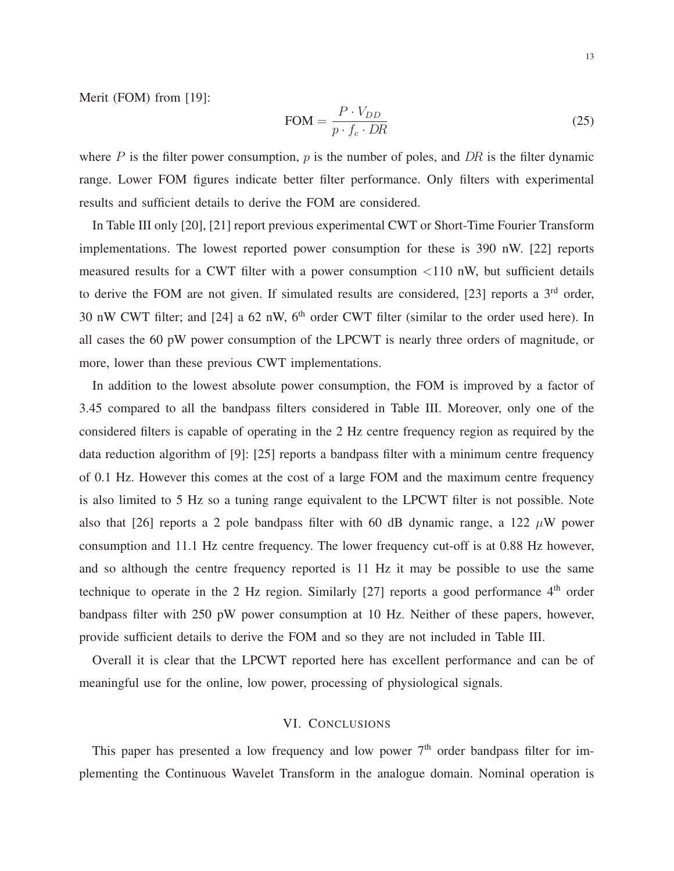Merit (FOM) from [19]:

$$
FOM = \frac{P \cdot V_{DD}}{p \cdot f_c \cdot DR} \tag{25}
$$

where  $P$  is the filter power consumption,  $p$  is the number of poles, and  $DR$  is the filter dynamic range. Lower FOM figures indicate better filter performance. Only filters with experimental results and sufficient details to derive the FOM are considered.

In Table III only [20], [21] report previous experimental CWT or Short-Time Fourier Transform implementations. The lowest reported power consumption for these is 390 nW. [22] reports measured results for a CWT filter with a power consumption <110 nW, but sufficient details to derive the FOM are not given. If simulated results are considered, [23] reports a 3<sup>rd</sup> order, 30 nW CWT filter; and [24] a 62 nW, 6<sup>th</sup> order CWT filter (similar to the order used here). In all cases the 60 pW power consumption of the LPCWT is nearly three orders of magnitude, or more, lower than these previous CWT implementations.

In addition to the lowest absolute power consumption, the FOM is improved by a factor of 3.45 compared to all the bandpass filters considered in Table III. Moreover, only one of the considered filters is capable of operating in the 2 Hz centre frequency region as required by the data reduction algorithm of [9]: [25] reports a bandpass filter with a minimum centre frequency of 0.1 Hz. However this comes at the cost of a large FOM and the maximum centre frequency is also limited to 5 Hz so a tuning range equivalent to the LPCWT filter is not possible. Note also that [26] reports a 2 pole bandpass filter with 60 dB dynamic range, a 122  $\mu$ W power consumption and 11.1 Hz centre frequency. The lower frequency cut-off is at 0.88 Hz however, and so although the centre frequency reported is 11 Hz it may be possible to use the same technique to operate in the 2 Hz region. Similarly  $[27]$  reports a good performance  $4<sup>th</sup>$  order bandpass filter with 250 pW power consumption at 10 Hz. Neither of these papers, however, provide sufficient details to derive the FOM and so they are not included in Table III.

Overall it is clear that the LPCWT reported here has excellent performance and can be of meaningful use for the online, low power, processing of physiological signals.

## VI. CONCLUSIONS

This paper has presented a low frequency and low power  $7<sup>th</sup>$  order bandpass filter for implementing the Continuous Wavelet Transform in the analogue domain. Nominal operation is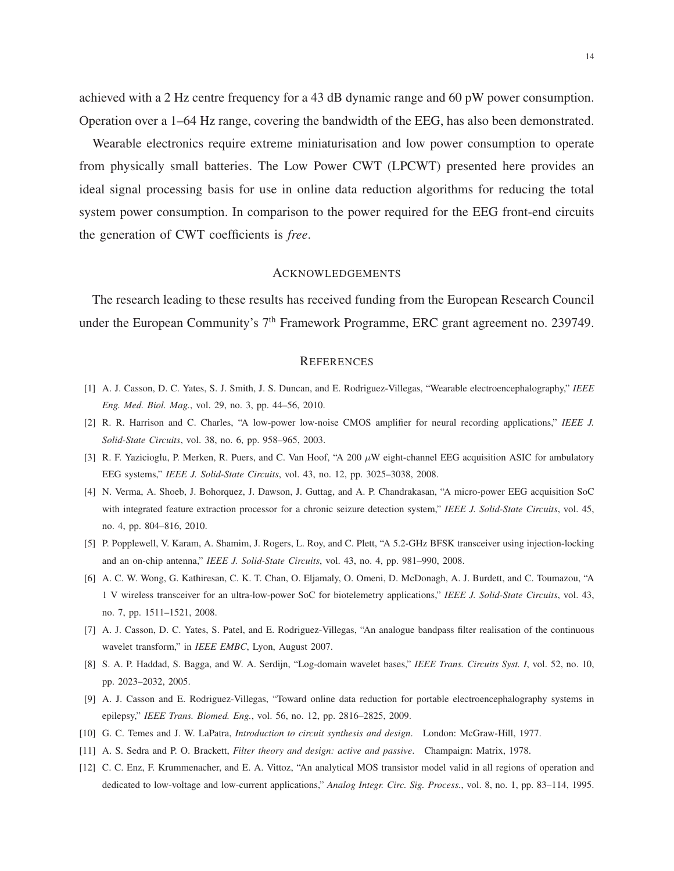achieved with a 2 Hz centre frequency for a 43 dB dynamic range and 60 pW power consumption. Operation over a 1–64 Hz range, covering the bandwidth of the EEG, has also been demonstrated.

Wearable electronics require extreme miniaturisation and low power consumption to operate from physically small batteries. The Low Power CWT (LPCWT) presented here provides an ideal signal processing basis for use in online data reduction algorithms for reducing the total system power consumption. In comparison to the power required for the EEG front-end circuits the generation of CWT coefficients is *free*.

### ACKNOWLEDGEMENTS

The research leading to these results has received funding from the European Research Council under the European Community's 7<sup>th</sup> Framework Programme, ERC grant agreement no. 239749.

#### **REFERENCES**

- [1] A. J. Casson, D. C. Yates, S. J. Smith, J. S. Duncan, and E. Rodriguez-Villegas, "Wearable electroencephalography," *IEEE Eng. Med. Biol. Mag.*, vol. 29, no. 3, pp. 44–56, 2010.
- [2] R. R. Harrison and C. Charles, "A low-power low-noise CMOS amplifier for neural recording applications," *IEEE J. Solid-State Circuits*, vol. 38, no. 6, pp. 958–965, 2003.
- [3] R. F. Yazicioglu, P. Merken, R. Puers, and C. Van Hoof, "A  $200 \mu W$  eight-channel EEG acquisition ASIC for ambulatory EEG systems," *IEEE J. Solid-State Circuits*, vol. 43, no. 12, pp. 3025–3038, 2008.
- [4] N. Verma, A. Shoeb, J. Bohorquez, J. Dawson, J. Guttag, and A. P. Chandrakasan, "A micro-power EEG acquisition SoC with integrated feature extraction processor for a chronic seizure detection system," *IEEE J. Solid-State Circuits*, vol. 45, no. 4, pp. 804–816, 2010.
- [5] P. Popplewell, V. Karam, A. Shamim, J. Rogers, L. Roy, and C. Plett, "A 5.2-GHz BFSK transceiver using injection-locking and an on-chip antenna," *IEEE J. Solid-State Circuits*, vol. 43, no. 4, pp. 981–990, 2008.
- [6] A. C. W. Wong, G. Kathiresan, C. K. T. Chan, O. Eljamaly, O. Omeni, D. McDonagh, A. J. Burdett, and C. Toumazou, "A 1 V wireless transceiver for an ultra-low-power SoC for biotelemetry applications," *IEEE J. Solid-State Circuits*, vol. 43, no. 7, pp. 1511–1521, 2008.
- [7] A. J. Casson, D. C. Yates, S. Patel, and E. Rodriguez-Villegas, "An analogue bandpass filter realisation of the continuous wavelet transform," in *IEEE EMBC*, Lyon, August 2007.
- [8] S. A. P. Haddad, S. Bagga, and W. A. Serdijn, "Log-domain wavelet bases," *IEEE Trans. Circuits Syst. I*, vol. 52, no. 10, pp. 2023–2032, 2005.
- [9] A. J. Casson and E. Rodriguez-Villegas, "Toward online data reduction for portable electroencephalography systems in epilepsy," *IEEE Trans. Biomed. Eng.*, vol. 56, no. 12, pp. 2816–2825, 2009.
- [10] G. C. Temes and J. W. LaPatra, *Introduction to circuit synthesis and design*. London: McGraw-Hill, 1977.
- [11] A. S. Sedra and P. O. Brackett, *Filter theory and design: active and passive*. Champaign: Matrix, 1978.
- [12] C. C. Enz, F. Krummenacher, and E. A. Vittoz, "An analytical MOS transistor model valid in all regions of operation and dedicated to low-voltage and low-current applications," *Analog Integr. Circ. Sig. Process.*, vol. 8, no. 1, pp. 83–114, 1995.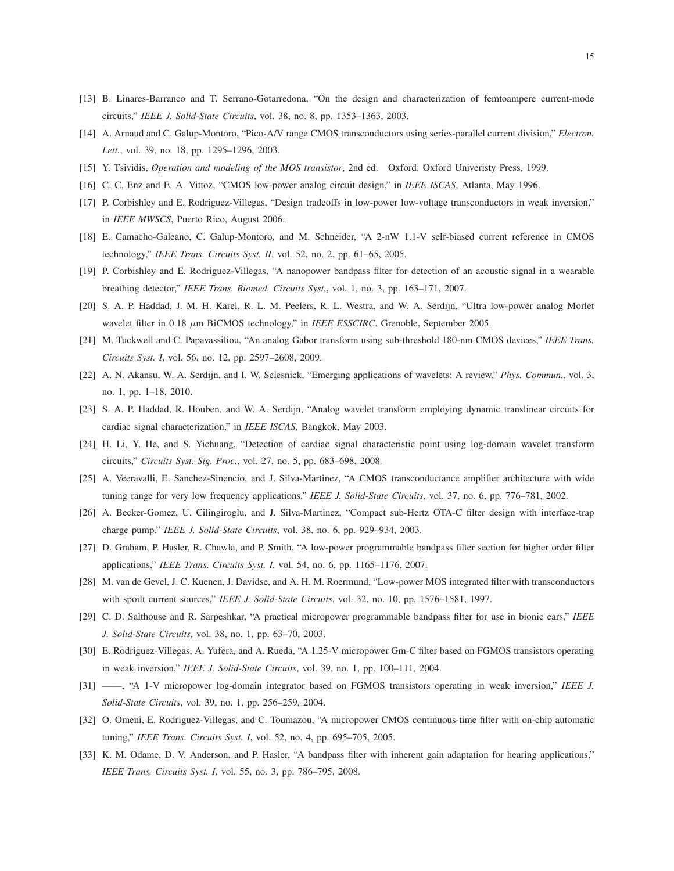- [13] B. Linares-Barranco and T. Serrano-Gotarredona, "On the design and characterization of femtoampere current-mode circuits," *IEEE J. Solid-State Circuits*, vol. 38, no. 8, pp. 1353–1363, 2003.
- [14] A. Arnaud and C. Galup-Montoro, "Pico-A/V range CMOS transconductors using series-parallel current division," *Electron. Lett.*, vol. 39, no. 18, pp. 1295–1296, 2003.
- [15] Y. Tsividis, *Operation and modeling of the MOS transistor*, 2nd ed. Oxford: Oxford Univeristy Press, 1999.
- [16] C. C. Enz and E. A. Vittoz, "CMOS low-power analog circuit design," in *IEEE ISCAS*, Atlanta, May 1996.
- [17] P. Corbishley and E. Rodriguez-Villegas, "Design tradeoffs in low-power low-voltage transconductors in weak inversion," in *IEEE MWSCS*, Puerto Rico, August 2006.
- [18] E. Camacho-Galeano, C. Galup-Montoro, and M. Schneider, "A 2-nW 1.1-V self-biased current reference in CMOS technology," *IEEE Trans. Circuits Syst. II*, vol. 52, no. 2, pp. 61–65, 2005.
- [19] P. Corbishley and E. Rodriguez-Villegas, "A nanopower bandpass filter for detection of an acoustic signal in a wearable breathing detector," *IEEE Trans. Biomed. Circuits Syst.*, vol. 1, no. 3, pp. 163–171, 2007.
- [20] S. A. P. Haddad, J. M. H. Karel, R. L. M. Peelers, R. L. Westra, and W. A. Serdijn, "Ultra low-power analog Morlet wavelet filter in 0.18 µm BiCMOS technology," in *IEEE ESSCIRC*, Grenoble, September 2005.
- [21] M. Tuckwell and C. Papavassiliou, "An analog Gabor transform using sub-threshold 180-nm CMOS devices," *IEEE Trans. Circuits Syst. I*, vol. 56, no. 12, pp. 2597–2608, 2009.
- [22] A. N. Akansu, W. A. Serdijn, and I. W. Selesnick, "Emerging applications of wavelets: A review," *Phys. Commun.*, vol. 3, no. 1, pp. 1–18, 2010.
- [23] S. A. P. Haddad, R. Houben, and W. A. Serdijn, "Analog wavelet transform employing dynamic translinear circuits for cardiac signal characterization," in *IEEE ISCAS*, Bangkok, May 2003.
- [24] H. Li, Y. He, and S. Yichuang, "Detection of cardiac signal characteristic point using log-domain wavelet transform circuits," *Circuits Syst. Sig. Proc.*, vol. 27, no. 5, pp. 683–698, 2008.
- [25] A. Veeravalli, E. Sanchez-Sinencio, and J. Silva-Martinez, "A CMOS transconductance amplifier architecture with wide tuning range for very low frequency applications," *IEEE J. Solid-State Circuits*, vol. 37, no. 6, pp. 776–781, 2002.
- [26] A. Becker-Gomez, U. Cilingiroglu, and J. Silva-Martinez, "Compact sub-Hertz OTA-C filter design with interface-trap charge pump," *IEEE J. Solid-State Circuits*, vol. 38, no. 6, pp. 929–934, 2003.
- [27] D. Graham, P. Hasler, R. Chawla, and P. Smith, "A low-power programmable bandpass filter section for higher order filter applications," *IEEE Trans. Circuits Syst. I*, vol. 54, no. 6, pp. 1165–1176, 2007.
- [28] M. van de Gevel, J. C. Kuenen, J. Davidse, and A. H. M. Roermund, "Low-power MOS integrated filter with transconductors with spoilt current sources," *IEEE J. Solid-State Circuits*, vol. 32, no. 10, pp. 1576–1581, 1997.
- [29] C. D. Salthouse and R. Sarpeshkar, "A practical micropower programmable bandpass filter for use in bionic ears," *IEEE J. Solid-State Circuits*, vol. 38, no. 1, pp. 63–70, 2003.
- [30] E. Rodriguez-Villegas, A. Yufera, and A. Rueda, "A 1.25-V micropower Gm-C filter based on FGMOS transistors operating in weak inversion," *IEEE J. Solid-State Circuits*, vol. 39, no. 1, pp. 100–111, 2004.
- [31] ——, "A 1-V micropower log-domain integrator based on FGMOS transistors operating in weak inversion," *IEEE J. Solid-State Circuits*, vol. 39, no. 1, pp. 256–259, 2004.
- [32] O. Omeni, E. Rodriguez-Villegas, and C. Toumazou, "A micropower CMOS continuous-time filter with on-chip automatic tuning," *IEEE Trans. Circuits Syst. I*, vol. 52, no. 4, pp. 695–705, 2005.
- [33] K. M. Odame, D. V. Anderson, and P. Hasler, "A bandpass filter with inherent gain adaptation for hearing applications," *IEEE Trans. Circuits Syst. I*, vol. 55, no. 3, pp. 786–795, 2008.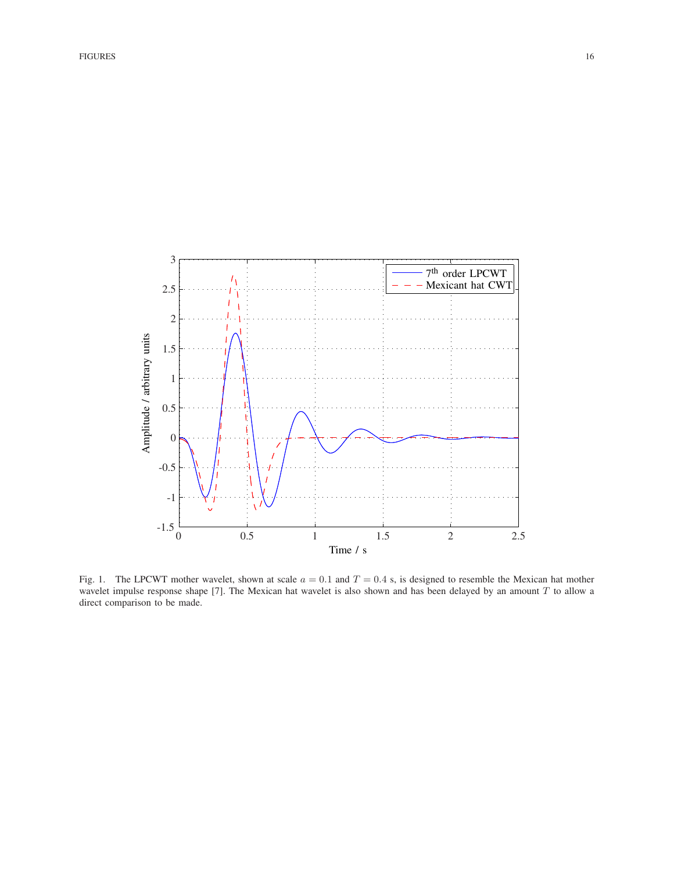

Fig. 1. The LPCWT mother wavelet, shown at scale  $a = 0.1$  and  $T = 0.4$  s, is designed to resemble the Mexican hat mother wavelet impulse response shape [7]. The Mexican hat wavelet is also shown and has been delayed by an amount T to allow a direct comparison to be made.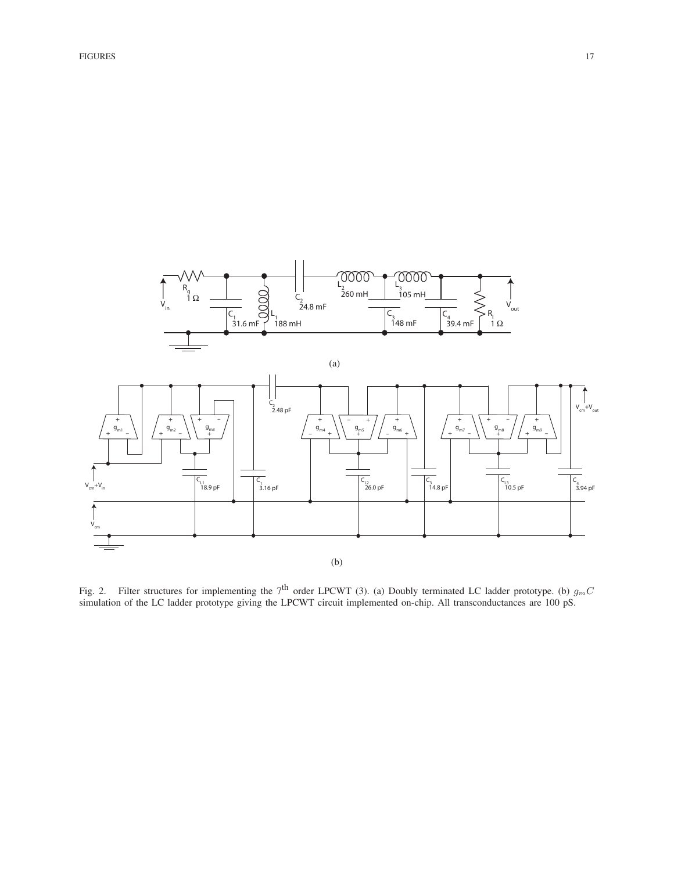

Fig. 2. Filter structures for implementing the 7<sup>th</sup> order LPCWT (3). (a) Doubly terminated LC ladder prototype. (b)  $g<sub>m</sub>C$ simulation of the LC ladder prototype giving the LPCWT circuit implemented on-chip. All transconductances are 100 pS.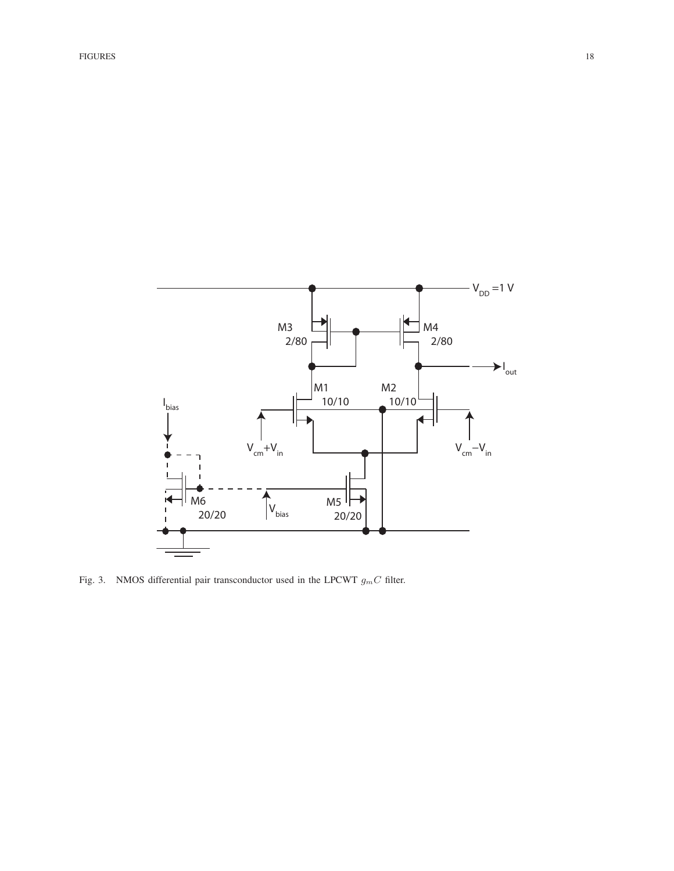

Fig. 3. NMOS differential pair transconductor used in the LPCWT  $g_m C$  filter.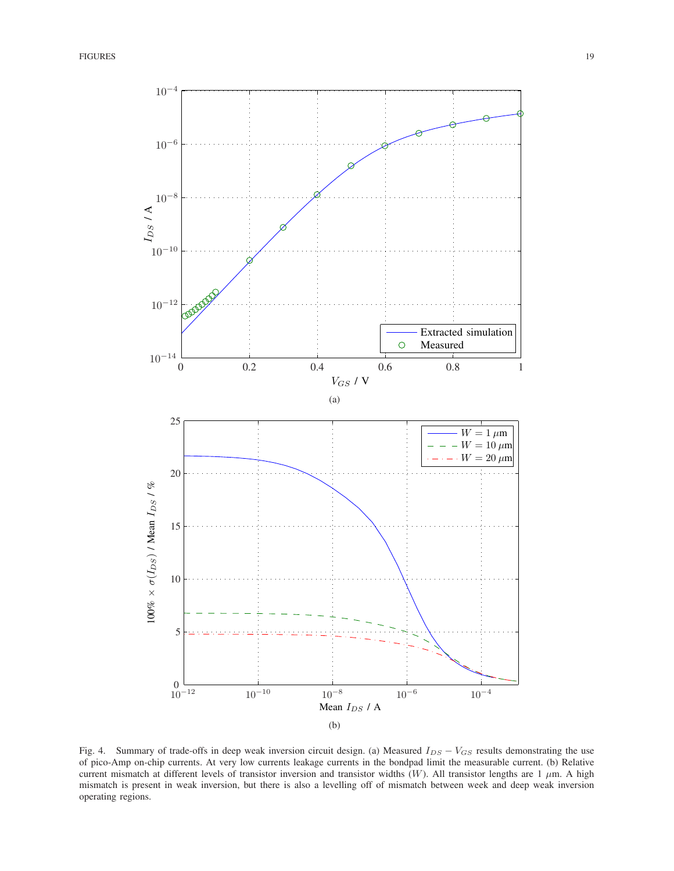

Fig. 4. Summary of trade-offs in deep weak inversion circuit design. (a) Measured  $I_{DS} - V_{GS}$  results demonstrating the use of pico-Amp on-chip currents. At very low currents leakage currents in the bondpad limit the measurable current. (b) Relative current mismatch at different levels of transistor inversion and transistor widths  $(W)$ . All transistor lengths are 1  $\mu$ m. A high mismatch is present in weak inversion, but there is also a levelling off of mismatch between week and deep weak inversion operating regions.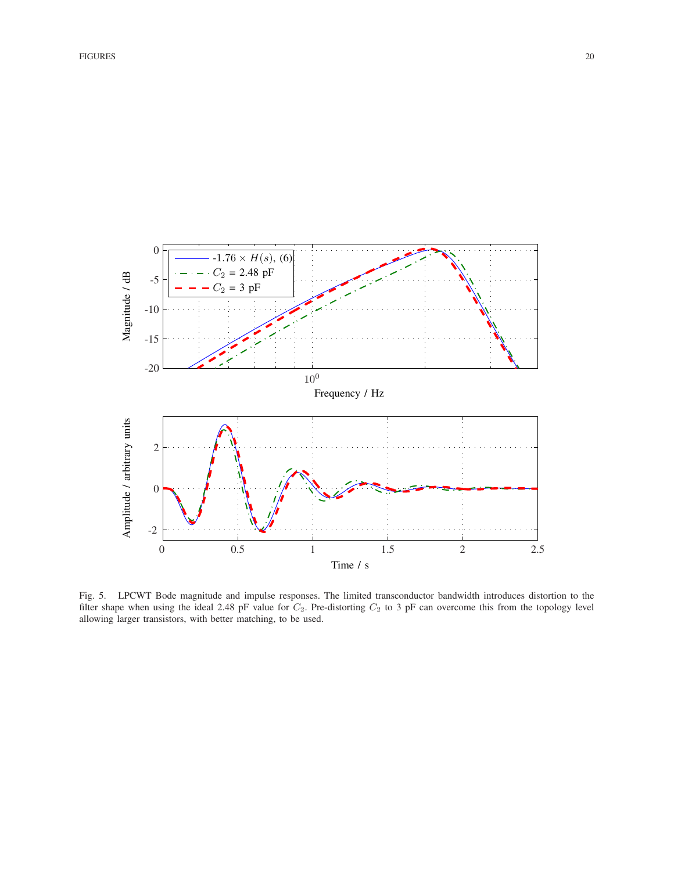

Fig. 5. LPCWT Bode magnitude and impulse responses. The limited transconductor bandwidth introduces distortion to the filter shape when using the ideal 2.48 pF value for  $C_2$ . Pre-distorting  $C_2$  to 3 pF can overcome this from the topology level allowing larger transistors, with better matching, to be used.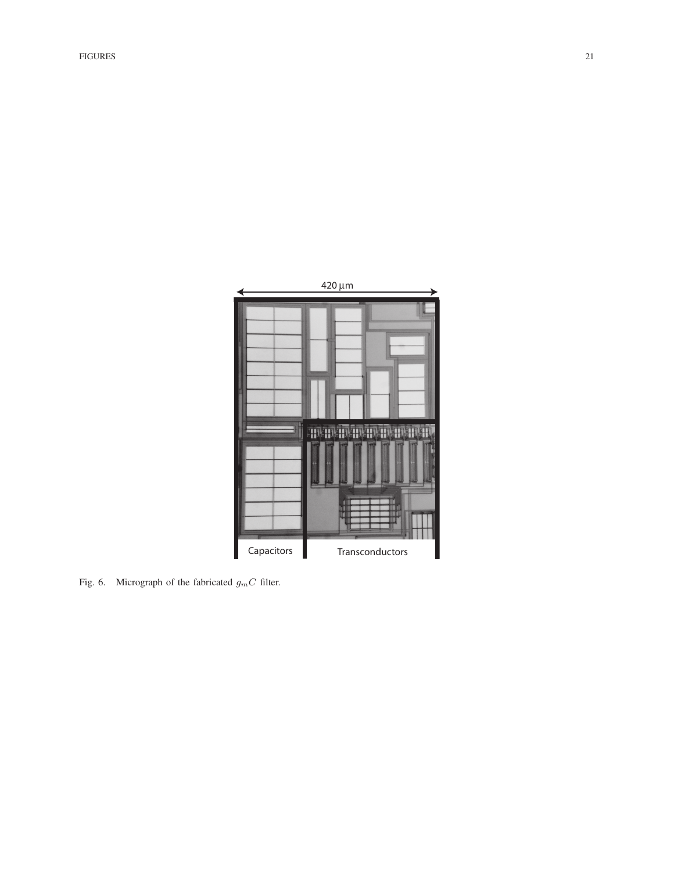

Fig. 6. Micrograph of the fabricated  $g_m C$  filter.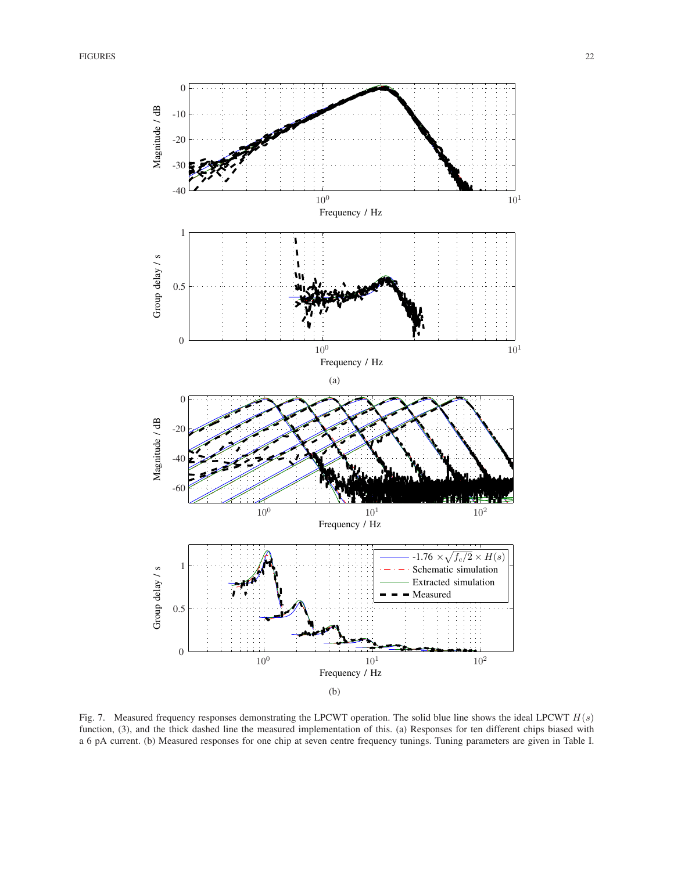

Fig. 7. Measured frequency responses demonstrating the LPCWT operation. The solid blue line shows the ideal LPCWT  $H(s)$ function, (3), and the thick dashed line the measured implementation of this. (a) Responses for ten different chips biased with a 6 pA current. (b) Measured responses for one chip at seven centre frequency tunings. Tuning parameters are given in Table I.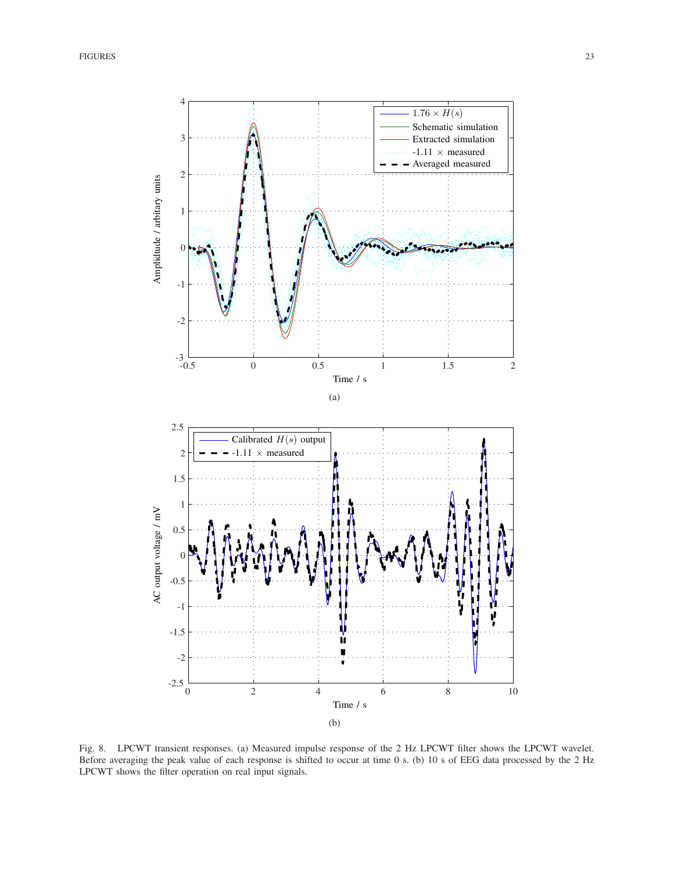

Fig. 8. LPCWT transient responses. (a) Measured impulse response of the 2 Hz LPCWT filter shows the LPCWT wavelet. Before averaging the peak value of each response is shifted to occur at time 0 s. (b) 10 s of EEG data processed by the 2 Hz LPCWT shows the filter operation on real input signals.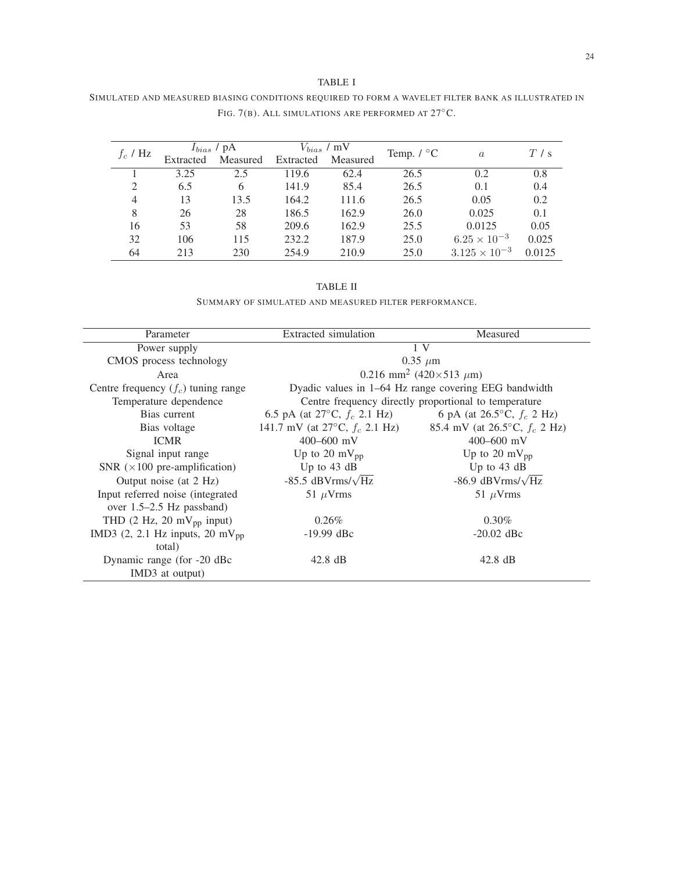# TABLE I

| SIMULATED AND MEASURED BIASING CONDITIONS REQUIRED TO FORM A WAVELET FILTER BANK AS ILLUSTRATED IN |                                                             |  |  |
|----------------------------------------------------------------------------------------------------|-------------------------------------------------------------|--|--|
|                                                                                                    | FIG. 7(B). ALL SIMULATIONS ARE PERFORMED AT $27^{\circ}$ C. |  |  |

| $f_c$ / Hz | $I_{bias}$ / pA |          | $V_{bias}$ / mV |          | Temp. $\text{/} \ ^{\circ}C$ |                        | T/s    |
|------------|-----------------|----------|-----------------|----------|------------------------------|------------------------|--------|
|            | Extracted       | Measured | Extracted       | Measured |                              | $\alpha$               |        |
|            | 3.25            | 2.5      | 119.6           | 62.4     | 26.5                         | 0.2                    | 0.8    |
| 2          | 6.5             | 6        | 141.9           | 85.4     | 26.5                         | 0.1                    | 0.4    |
| 4          | 13              | 13.5     | 164.2           | 111.6    | 26.5                         | 0.05                   | 0.2    |
| 8          | 26              | 28       | 186.5           | 162.9    | 26.0                         | 0.025                  | 0.1    |
| 16         | 53              | 58       | 209.6           | 162.9    | 25.5                         | 0.0125                 | 0.05   |
| 32         | 106             | 115      | 232.2           | 187.9    | 25.0                         | $6.25 \times 10^{-3}$  | 0.025  |
| 64         | 213             | 230      | 254.9           | 210.9    | 25.0                         | $3.125 \times 10^{-3}$ | 0.0125 |

## TABLE II

SUMMARY OF SIMULATED AND MEASURED FILTER PERFORMANCE.

| Parameter                                              | Extracted simulation                           | Measured                                              |  |  |  |  |
|--------------------------------------------------------|------------------------------------------------|-------------------------------------------------------|--|--|--|--|
| Power supply                                           | 1 <sup>V</sup>                                 |                                                       |  |  |  |  |
| CMOS process technology                                | $0.35 \mu m$                                   |                                                       |  |  |  |  |
| Area                                                   | 0.216 mm <sup>2</sup> (420×513 $\mu$ m)        |                                                       |  |  |  |  |
| Centre frequency $(f_c)$ tuning range                  |                                                | Dyadic values in 1–64 Hz range covering EEG bandwidth |  |  |  |  |
| Temperature dependence                                 |                                                | Centre frequency directly proportional to temperature |  |  |  |  |
| Bias current                                           | 6.5 pA (at 27 $\rm{^{\circ}C}$ , $f_c$ 2.1 Hz) | 6 pA (at 26.5 $\degree$ C, $f_c$ 2 Hz)                |  |  |  |  |
| Bias voltage                                           | 141.7 mV (at $27^{\circ}$ C, $f_c$ 2.1 Hz)     | 85.4 mV (at 26.5 $\rm ^{\circ}C$ , $f_c$ 2 Hz)        |  |  |  |  |
| <b>ICMR</b>                                            | $400 - 600$ mV                                 | $400 - 600$ mV                                        |  |  |  |  |
| Signal input range                                     | Up to 20 mV <sub>pp</sub>                      | Up to 20 mV $_{\text{pp}}$                            |  |  |  |  |
| SNR $(\times 100$ pre-amplification)                   | Up to 43 dB                                    | Up to 43 dB                                           |  |  |  |  |
| Output noise (at 2 Hz)                                 | -85.5 dBVrms/ $\sqrt{Hz}$                      | -86.9 dBVrms/ $\sqrt{Hz}$                             |  |  |  |  |
| Input referred noise (integrated)                      | 51 $\mu$ Vrms                                  | 51 $\mu$ Vrms                                         |  |  |  |  |
| over $1.5-2.5$ Hz passband)                            |                                                |                                                       |  |  |  |  |
| THD $(2 \text{ Hz}, 20 \text{ mV}_{\text{pp}})$ input) | $0.26\%$                                       | $0.30\%$                                              |  |  |  |  |
| IMD3 $(2, 2.1$ Hz inputs, 20 mV <sub>pp</sub>          | $-19.99$ dBc                                   | $-20.02$ dBc                                          |  |  |  |  |
| total)                                                 |                                                |                                                       |  |  |  |  |
| Dynamic range (for -20 dBc                             | $42.8 \text{ dB}$                              | $42.8 \text{ dB}$                                     |  |  |  |  |
| IMD3 at output)                                        |                                                |                                                       |  |  |  |  |